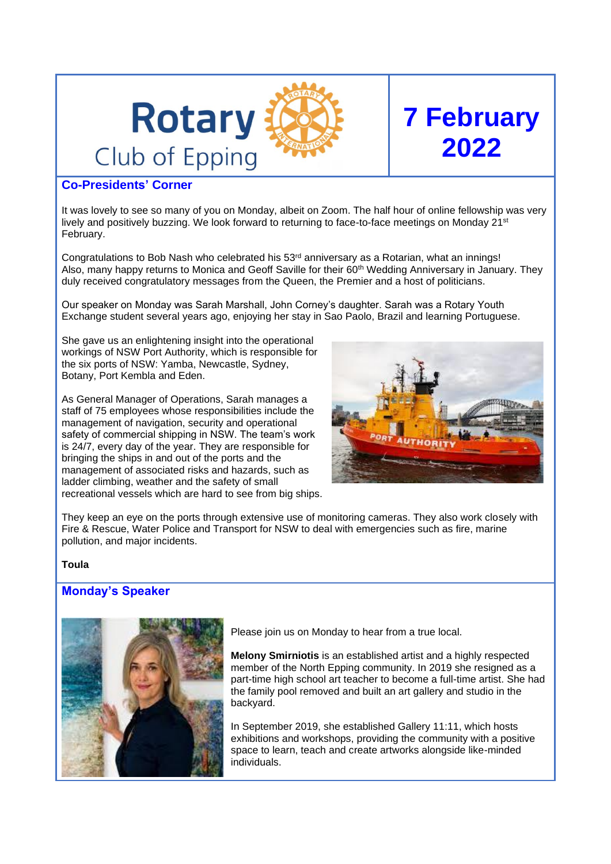

## **Co-Presidents' Corner**

It was lovely to see so many of you on Monday, albeit on Zoom. The half hour of online fellowship was very lively and positively buzzing. We look forward to returning to face-to-face meetings on Monday 21<sup>st</sup> February.

Congratulations to Bob Nash who celebrated his  $53<sup>rd</sup>$  anniversary as a Rotarian, what an innings! Also, many happy returns to Monica and Geoff Saville for their 60th Wedding Anniversary in January. They duly received congratulatory messages from the Queen, the Premier and a host of politicians.

Our speaker on Monday was Sarah Marshall, John Corney's daughter. Sarah was a Rotary Youth Exchange student several years ago, enjoying her stay in Sao Paolo, Brazil and learning Portuguese.

She gave us an enlightening insight into the operational workings of NSW Port Authority, which is responsible for the six ports of NSW: Yamba, Newcastle, Sydney, Botany, Port Kembla and Eden.

As General Manager of Operations, Sarah manages a staff of 75 employees whose responsibilities include the management of navigation, security and operational safety of commercial shipping in NSW. The team's work is 24/7, every day of the year. They are responsible for bringing the ships in and out of the ports and the management of associated risks and hazards, such as ladder climbing, weather and the safety of small recreational vessels which are hard to see from big ships.



**7 February**

**2022**

They keep an eye on the ports through extensive use of monitoring cameras. They also work closely with Fire & Rescue, Water Police and Transport for NSW to deal with emergencies such as fire, marine pollution, and major incidents.

#### **Toula**

## **Monday's Speaker**



Please join us on Monday to hear from a true local.

**Melony Smirniotis** is an established artist and a highly respected member of the North Epping community. In 2019 she resigned as a part-time high school art teacher to become a full-time artist. She had the family pool removed and built an art gallery and studio in the backyard.

In September 2019, she established Gallery 11:11, which hosts exhibitions and workshops, providing the community with a positive space to learn, teach and create artworks alongside like-minded individuals.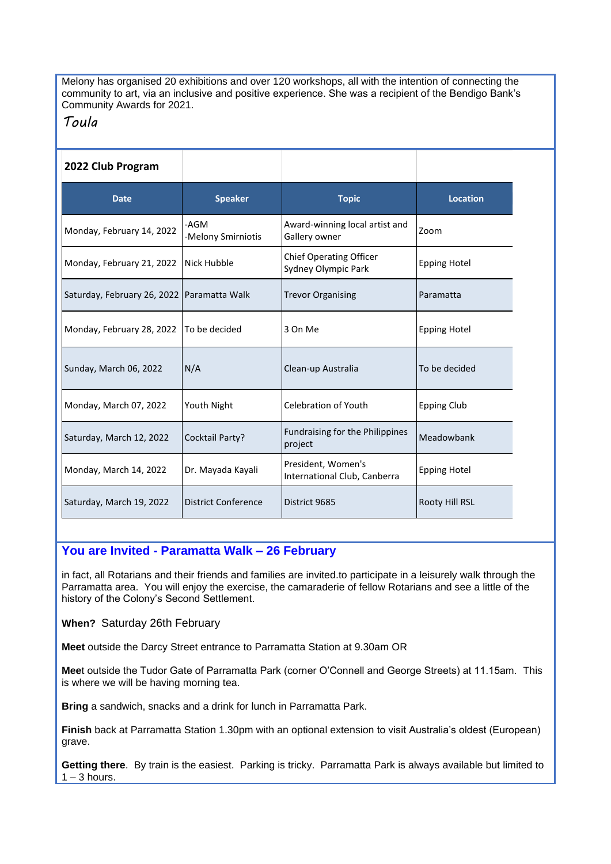Melony has organised 20 exhibitions and over 120 workshops, all with the intention of connecting the community to art, via an inclusive and positive experience. She was a recipient of the Bendigo Bank's Community Awards for 2021.

# *Toula*

| 2022 Club Program                            |                            |                                                       |                     |
|----------------------------------------------|----------------------------|-------------------------------------------------------|---------------------|
| <b>Date</b>                                  | <b>Speaker</b>             | <b>Topic</b>                                          | <b>Location</b>     |
| Monday, February 14, 2022                    | -AGM<br>-Melony Smirniotis | Award-winning local artist and<br>Gallery owner       | Zoom                |
| Monday, February 21, 2022                    | Nick Hubble                | <b>Chief Operating Officer</b><br>Sydney Olympic Park | <b>Epping Hotel</b> |
| Saturday, February 26, 2022   Paramatta Walk |                            | <b>Trevor Organising</b>                              | Paramatta           |
| Monday, February 28, 2022                    | To be decided              | 3 On Me                                               | <b>Epping Hotel</b> |
| Sunday, March 06, 2022                       | N/A                        | Clean-up Australia                                    | To be decided       |
| Monday, March 07, 2022                       | Youth Night                | <b>Celebration of Youth</b>                           | <b>Epping Club</b>  |
| Saturday, March 12, 2022                     | Cocktail Party?            | Fundraising for the Philippines<br>project            | Meadowbank          |
| Monday, March 14, 2022                       | Dr. Mayada Kayali          | President, Women's<br>International Club, Canberra    | <b>Epping Hotel</b> |
| Saturday, March 19, 2022                     | <b>District Conference</b> | District 9685                                         | Rooty Hill RSL      |

## **You are Invited - Paramatta Walk – 26 February**

in fact, all Rotarians and their friends and families are invited.to participate in a leisurely walk through the Parramatta area. You will enjoy the exercise, the camaraderie of fellow Rotarians and see a little of the history of the Colony's Second Settlement.

**When?** Saturday 26th February

**Meet** outside the Darcy Street entrance to Parramatta Station at 9.30am OR

**Mee**t outside the Tudor Gate of Parramatta Park (corner O'Connell and George Streets) at 11.15am. This is where we will be having morning tea.

**Bring** a sandwich, snacks and a drink for lunch in Parramatta Park.

**Finish** back at Parramatta Station 1.30pm with an optional extension to visit Australia's oldest (European) grave.

**Getting there**. By train is the easiest. Parking is tricky. Parramatta Park is always available but limited to  $1 - 3$  hours.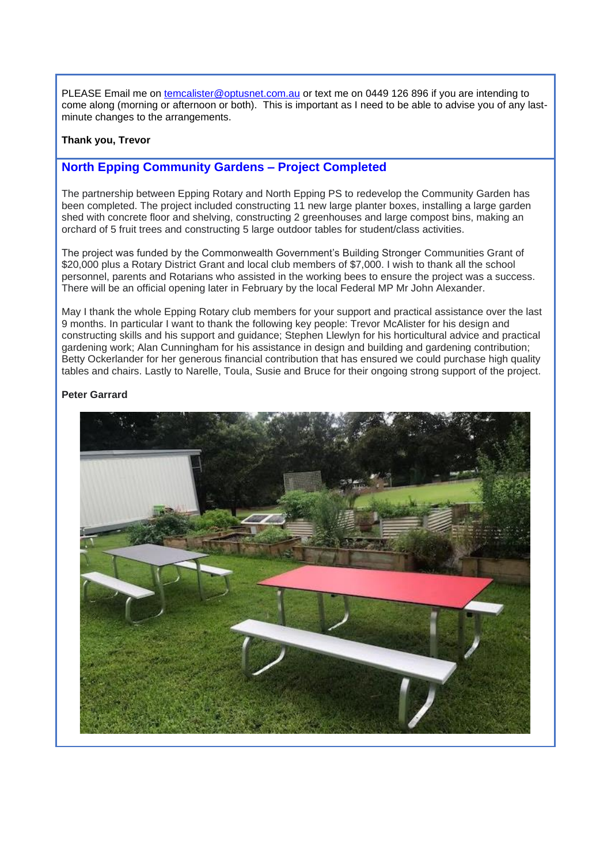PLEASE Email me on [temcalister@optusnet.com.au](mailto:temcalister@optusnet.com.au) or text me on 0449 126 896 if you are intending to come along (morning or afternoon or both). This is important as I need to be able to advise you of any lastminute changes to the arrangements.

#### **Thank you, Trevor**

## **North Epping Community Gardens – Project Completed**

The partnership between Epping Rotary and North Epping PS to redevelop the Community Garden has been completed. The project included constructing 11 new large planter boxes, installing a large garden shed with concrete floor and shelving, constructing 2 greenhouses and large compost bins, making an orchard of 5 fruit trees and constructing 5 large outdoor tables for student/class activities.

The project was funded by the Commonwealth Government's Building Stronger Communities Grant of \$20,000 plus a Rotary District Grant and local club members of \$7,000. I wish to thank all the school personnel, parents and Rotarians who assisted in the working bees to ensure the project was a success. There will be an official opening later in February by the local Federal MP Mr John Alexander.

May I thank the whole Epping Rotary club members for your support and practical assistance over the last 9 months. In particular I want to thank the following key people: Trevor McAlister for his design and constructing skills and his support and guidance; Stephen Llewlyn for his horticultural advice and practical gardening work; Alan Cunningham for his assistance in design and building and gardening contribution; Betty Ockerlander for her generous financial contribution that has ensured we could purchase high quality tables and chairs. Lastly to Narelle, Toula, Susie and Bruce for their ongoing strong support of the project.

#### **Peter Garrard**

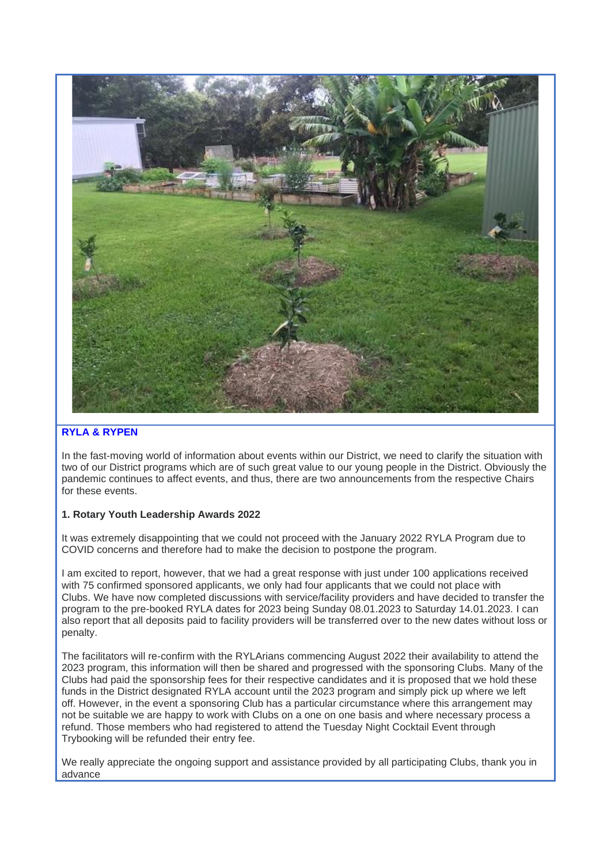

#### **RYLA & RYPEN**

In the fast-moving world of information about events within our District, we need to clarify the situation with two of our District programs which are of such great value to our young people in the District. Obviously the pandemic continues to affect events, and thus, there are two announcements from the respective Chairs for these events.

#### **1. Rotary Youth Leadership Awards 2022**

It was extremely disappointing that we could not proceed with the January 2022 RYLA Program due to COVID concerns and therefore had to make the decision to postpone the program.

I am excited to report, however, that we had a great response with just under 100 applications received with 75 confirmed sponsored applicants, we only had four applicants that we could not place with Clubs. We have now completed discussions with service/facility providers and have decided to transfer the program to the pre-booked RYLA dates for 2023 being Sunday 08.01.2023 to Saturday 14.01.2023. I can also report that all deposits paid to facility providers will be transferred over to the new dates without loss or penalty.

The facilitators will re-confirm with the RYLArians commencing August 2022 their availability to attend the 2023 program, this information will then be shared and progressed with the sponsoring Clubs. Many of the Clubs had paid the sponsorship fees for their respective candidates and it is proposed that we hold these funds in the District designated RYLA account until the 2023 program and simply pick up where we left off. However, in the event a sponsoring Club has a particular circumstance where this arrangement may not be suitable we are happy to work with Clubs on a one on one basis and where necessary process a refund. Those members who had registered to attend the Tuesday Night Cocktail Event through Trybooking will be refunded their entry fee.

We really appreciate the ongoing support and assistance provided by all participating Clubs, thank you in advance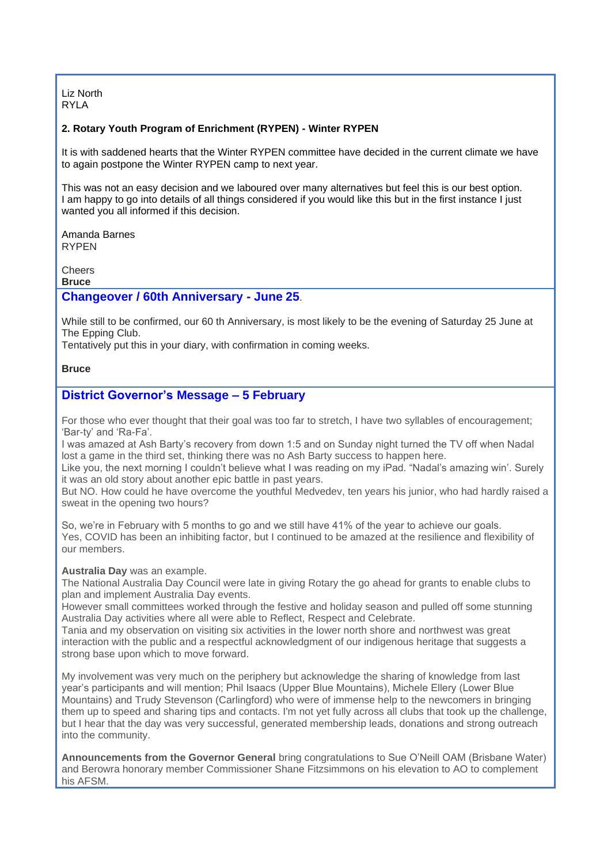Liz North RYLA

#### **2. Rotary Youth Program of Enrichment (RYPEN) - Winter RYPEN**

It is with saddened hearts that the Winter RYPEN committee have decided in the current climate we have to again postpone the Winter RYPEN camp to next year.

This was not an easy decision and we laboured over many alternatives but feel this is our best option. I am happy to go into details of all things considered if you would like this but in the first instance I just wanted you all informed if this decision.

Amanda Barnes RYPEN

Cheers

**Bruce**

#### **Changeover / 60th Anniversary - June 25**.

While still to be confirmed, our 60 th Anniversary, is most likely to be the evening of Saturday 25 June at The Epping Club.

Tentatively put this in your diary, with confirmation in coming weeks.

#### **Bruce**

#### **District Governor's Message – 5 February**

For those who ever thought that their goal was too far to stretch, I have two syllables of encouragement; 'Bar-ty' and 'Ra-Fa'.

I was amazed at Ash Barty's recovery from down 1:5 and on Sunday night turned the TV off when Nadal lost a game in the third set, thinking there was no Ash Barty success to happen here.

Like you, the next morning I couldn't believe what I was reading on my iPad. "Nadal's amazing win'. Surely it was an old story about another epic battle in past years.

But NO. How could he have overcome the youthful Medvedev, ten years his junior, who had hardly raised a sweat in the opening two hours?

So, we're in February with 5 months to go and we still have 41% of the year to achieve our goals. Yes, COVID has been an inhibiting factor, but I continued to be amazed at the resilience and flexibility of our members.

**Australia Day** was an example.

The National Australia Day Council were late in giving Rotary the go ahead for grants to enable clubs to plan and implement Australia Day events.

However small committees worked through the festive and holiday season and pulled off some stunning Australia Day activities where all were able to Reflect, Respect and Celebrate.

Tania and my observation on visiting six activities in the lower north shore and northwest was great interaction with the public and a respectful acknowledgment of our indigenous heritage that suggests a strong base upon which to move forward.

My involvement was very much on the periphery but acknowledge the sharing of knowledge from last year's participants and will mention; Phil Isaacs (Upper Blue Mountains), Michele Ellery (Lower Blue Mountains) and Trudy Stevenson (Carlingford) who were of immense help to the newcomers in bringing them up to speed and sharing tips and contacts. I'm not yet fully across all clubs that took up the challenge, but I hear that the day was very successful, generated membership leads, donations and strong outreach into the community.

**Announcements from the Governor General** bring congratulations to Sue O'Neill OAM (Brisbane Water) and Berowra honorary member Commissioner Shane Fitzsimmons on his elevation to AO to complement his AFSM.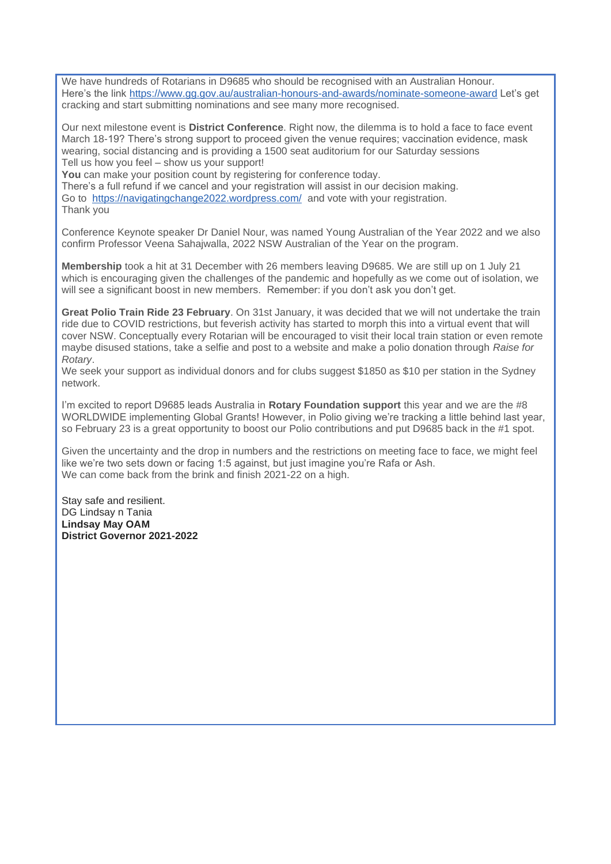We have hundreds of Rotarians in D9685 who should be recognised with an Australian Honour. Here's the link <https://www.gg.gov.au/australian-honours-and-awards/nominate-someone-award> Let's get cracking and start submitting nominations and see many more recognised.

Our next milestone event is **District Conference**. Right now, the dilemma is to hold a face to face event March 18-19? There's strong support to proceed given the venue requires; vaccination evidence, mask wearing, social distancing and is providing a 1500 seat auditorium for our Saturday sessions Tell us how you feel – show us your support!

You can make your position count by registering for conference today.

There's a full refund if we cancel and your registration will assist in our decision making. Go to <https://navigatingchange2022.wordpress.com/> and vote with your registration. Thank you

Conference Keynote speaker Dr Daniel Nour, was named Young Australian of the Year 2022 and we also confirm Professor Veena Sahajwalla, 2022 NSW Australian of the Year on the program.

**Membership** took a hit at 31 December with 26 members leaving D9685. We are still up on 1 July 21 which is encouraging given the challenges of the pandemic and hopefully as we come out of isolation, we will see a significant boost in new members. Remember: if you don't ask you don't get.

**Great Polio Train Ride 23 February**. On 31st January, it was decided that we will not undertake the train ride due to COVID restrictions, but feverish activity has started to morph this into a virtual event that will cover NSW. Conceptually every Rotarian will be encouraged to visit their local train station or even remote maybe disused stations, take a selfie and post to a website and make a polio donation through *Raise for Rotary*.

We seek your support as individual donors and for clubs suggest \$1850 as \$10 per station in the Sydney network.

I'm excited to report D9685 leads Australia in **Rotary Foundation support** this year and we are the #8 WORLDWIDE implementing Global Grants! However, in Polio giving we're tracking a little behind last year, so February 23 is a great opportunity to boost our Polio contributions and put D9685 back in the #1 spot.

Given the uncertainty and the drop in numbers and the restrictions on meeting face to face, we might feel like we're two sets down or facing 1:5 against, but just imagine you're Rafa or Ash. We can come back from the brink and finish 2021-22 on a high.

Stay safe and resilient. DG Lindsay n Tania **Lindsay May OAM District Governor 2021-2022**